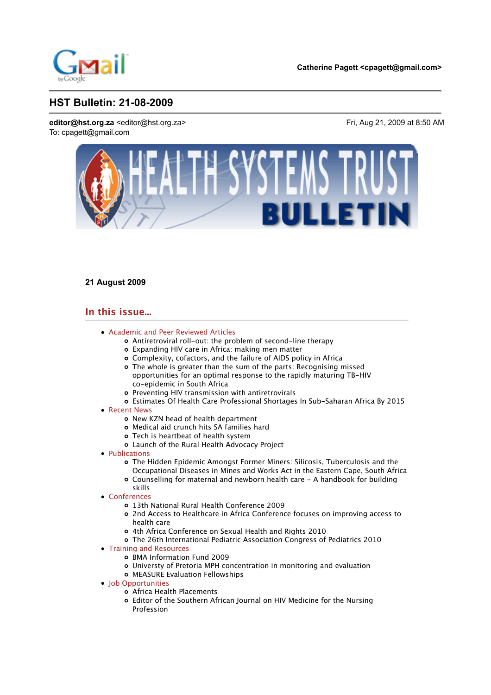

# **21 August 2009**

# **In this issue...**

- Academic and Peer Reviewed Articles
	- Antiretroviral roll-out: the problem of second-line therapy
	- Expanding HIV care in Africa: making men matter
	- Complexity, cofactors, and the failure of AIDS policy in Africa
	- The whole is greater than the sum of the parts: Recognising missed opportunities for an optimal response to the rapidly maturing TB-HIV co-epidemic in South Africa
	- Preventing HIV transmission with antiretrovirals
	- Estimates Of Health Care Professional Shortages In Sub-Saharan Africa By 2015
- Recent News
	- o New KZN head of health department
	- Medical aid crunch hits SA families hard
	- Tech is heartbeat of health system
	- Launch of the Rural Health Advocacy Project
- Publications
	- The Hidden Epidemic Amongst Former Miners: Silicosis, Tuberculosis and the Occupational Diseases in Mines and Works Act in the Eastern Cape, South Africa
	- Counselling for maternal and newborn health care A handbook for building skills
- Conferences
	- 13th National Rural Health Conference 2009
	- 2nd Access to Healthcare in Africa Conference focuses on improving access to health care
	- 4th Africa Conference on Sexual Health and Rights 2010
	- The 26th International Pediatric Association Congress of Pediatrics 2010
- Training and Resources
	- o BMA Information Fund 2009
	- Universty of Pretoria MPH concentration in monitoring and evaluation
	- MEASURE Evaluation Fellowships
- Iob Opportunities
	- Africa Health Placements
	- Editor of the Southern African Journal on HIV Medicine for the Nursing Profession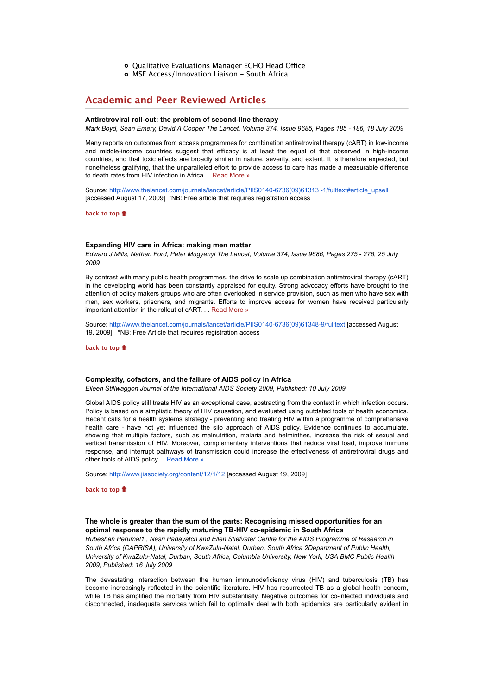- o Qualitative Evaluations Manager ECHO Head Office
- MSF Access/Innovation Liaison South Africa

# **Academic and Peer Reviewed Articles**

#### **Antiretroviral roll-out: the problem of second-line therapy**

*Mark Boyd, Sean Emery, David A Cooper The Lancet, Volume 374, Issue 9685, Pages 185 - 186, 18 July 2009*

Many reports on outcomes from access programmes for combination antiretroviral therapy (cART) in low-income and middle-income countries suggest that efficacy is at least the equal of that observed in high-income countries, and that toxic effects are broadly similar in nature, severity, and extent. It is therefore expected, but nonetheless gratifying, that the unparalleled effort to provide access to care has made a measurable difference to death rates from HIV infection in Africa. . . Read More »

Source: http://www.thelancet.com/journals/lancet/article/PIIS0140-6736(09)61313 -1/fulltext#article\_upsell [accessed August 17, 2009] \*NB: Free article that requires registration access

**back to top**

#### **Expanding HIV care in Africa: making men matter**

*Edward J Mills, Nathan Ford, Peter Mugyenyi The Lancet, Volume 374, Issue 9686, Pages 275 - 276, 25 July 2009*

By contrast with many public health programmes, the drive to scale up combination antiretroviral therapy (cART) in the developing world has been constantly appraised for equity. Strong advocacy efforts have brought to the attention of policy makers groups who are often overlooked in service provision, such as men who have sex with men, sex workers, prisoners, and migrants. Efforts to improve access for women have received particularly important attention in the rollout of cART. . . Read More »

Source: http://www.thelancet.com/journals/lancet/article/PIIS0140-6736(09)61348-9/fulltext [accessed August 19, 2009] \*NB: Free Article that requires registration access

**back to top**

#### **Complexity, cofactors, and the failure of AIDS policy in Africa**

*Eileen Stillwaggon Journal of the International AIDS Society 2009, Published: 10 July 2009*

Global AIDS policy still treats HIV as an exceptional case, abstracting from the context in which infection occurs. Policy is based on a simplistic theory of HIV causation, and evaluated using outdated tools of health economics. Recent calls for a health systems strategy - preventing and treating HIV within a programme of comprehensive health care - have not yet influenced the silo approach of AIDS policy. Evidence continues to accumulate, showing that multiple factors, such as malnutrition, malaria and helminthes, increase the risk of sexual and vertical transmission of HIV. Moreover, complementary interventions that reduce viral load, improve immune response, and interrupt pathways of transmission could increase the effectiveness of antiretroviral drugs and other tools of AIDS policy. . Read More »

Source: http://www.jiasociety.org/content/12/1/12 [accessed August 19, 2009]

**back to top**

## **The whole is greater than the sum of the parts: Recognising missed opportunities for an optimal response to the rapidly maturing TB-HIV co-epidemic in South Africa**

*Rubeshan Perumal1 , Nesri Padayatch and Ellen Stiefvater Centre for the AIDS Programme of Research in South Africa (CAPRISA), University of KwaZulu-Natal, Durban, South Africa 2Department of Public Health, University of KwaZulu-Natal, Durban, South Africa, Columbia University, New York, USA BMC Public Health 2009, Published: 16 July 2009*

The devastating interaction between the human immunodeficiency virus (HIV) and tuberculosis (TB) has become increasingly reflected in the scientific literature. HIV has resurrected TB as a global health concern, while TB has amplified the mortality from HIV substantially. Negative outcomes for co-infected individuals and disconnected, inadequate services which fail to optimally deal with both epidemics are particularly evident in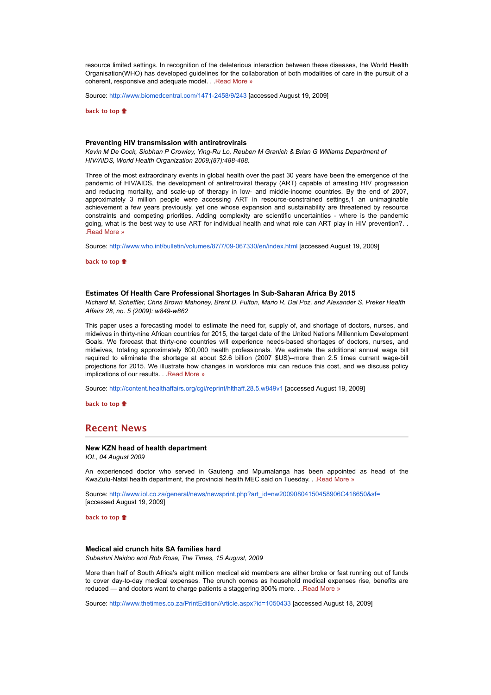resource limited settings. In recognition of the deleterious interaction between these diseases, the World Health Organisation(WHO) has developed guidelines for the collaboration of both modalities of care in the pursuit of a coherent, responsive and adequate model. . .Read More »

Source: http://www.biomedcentral.com/1471-2458/9/243 [accessed August 19, 2009]

**back to top**

#### **Preventing HIV transmission with antiretrovirals**

*Kevin M De Cock, Siobhan P Crowley, Ying-Ru Lo, Reuben M Granich & Brian G Williams Department of HIV/AIDS, World Health Organization 2009;(87):488-488.*

Three of the most extraordinary events in global health over the past 30 years have been the emergence of the pandemic of HIV/AIDS, the development of antiretroviral therapy (ART) capable of arresting HIV progression and reducing mortality, and scale-up of therapy in low- and middle-income countries. By the end of 2007, approximately 3 million people were accessing ART in resource-constrained settings,1 an unimaginable achievement a few years previously, yet one whose expansion and sustainability are threatened by resource constraints and competing priorities. Adding complexity are scientific uncertainties - where is the pandemic going, what is the best way to use ART for individual health and what role can ART play in HIV prevention?. . .Read More »

Source: http://www.who.int/bulletin/volumes/87/7/09-067330/en/index.html [accessed August 19, 2009]

**back to top**

### **Estimates Of Health Care Professional Shortages In Sub-Saharan Africa By 2015**

*Richard M. Scheffler, Chris Brown Mahoney, Brent D. Fulton, Mario R. Dal Poz, and Alexander S. Preker Health Affairs 28, no. 5 (2009): w849-w862*

This paper uses a forecasting model to estimate the need for, supply of, and shortage of doctors, nurses, and midwives in thirty-nine African countries for 2015, the target date of the United Nations Millennium Development Goals. We forecast that thirty-one countries will experience needs-based shortages of doctors, nurses, and midwives, totaling approximately 800,000 health professionals. We estimate the additional annual wage bill required to eliminate the shortage at about \$2.6 billion (2007 \$US)--more than 2.5 times current wage-bill projections for 2015. We illustrate how changes in workforce mix can reduce this cost, and we discuss policy implications of our results. . . Read More »

Source: http://content.healthaffairs.org/cgi/reprint/hlthaff.28.5.w849v1 [accessed August 19, 2009]

**back to top**

## **Recent News**

## **New KZN head of health department**

*IOL, 04 August 2009*

An experienced doctor who served in Gauteng and Mpumalanga has been appointed as head of the KwaZulu-Natal health department, the provincial health MEC said on Tuesday. . .Read More »

Source: http://www.iol.co.za/general/news/newsprint.php?art\_id=nw20090804150458906C418650&sf= [accessed August 19, 2009]

**back to top**

### **Medical aid crunch hits SA families hard**

*Subashni Naidoo and Rob Rose, The Times, 15 August, 2009*

More than half of South Africa's eight million medical aid members are either broke or fast running out of funds to cover day-to-day medical expenses. The crunch comes as household medical expenses rise, benefits are reduced — and doctors want to charge patients a staggering 300% more. . .Read More »

Source: http://www.thetimes.co.za/PrintEdition/Article.aspx?id=1050433 [accessed August 18, 2009]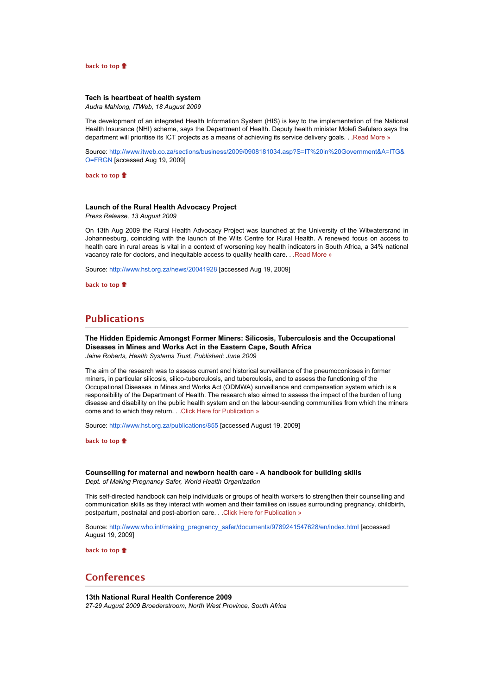#### **back to top**

## **Tech is heartbeat of health system**

*Audra Mahlong, ITWeb, 18 August 2009*

The development of an integrated Health Information System (HIS) is key to the implementation of the National Health Insurance (NHI) scheme, says the Department of Health. Deputy health minister Molefi Sefularo says the department will prioritise its ICT projects as a means of achieving its service delivery goals. . .Read More »

Source: http://www.itweb.co.za/sections/business/2009/0908181034.asp?S=IT%20in%20Government&A=ITG& O=FRGN [accessed Aug 19, 2009]

**back to top**

## **Launch of the Rural Health Advocacy Project**

*Press Release, 13 August 2009*

On 13th Aug 2009 the Rural Health Advocacy Project was launched at the University of the Witwatersrand in Johannesburg, coinciding with the launch of the Wits Centre for Rural Health. A renewed focus on access to health care in rural areas is vital in a context of worsening key health indicators in South Africa, a 34% national vacancy rate for doctors, and inequitable access to quality health care. . .Read More »

Source: http://www.hst.org.za/news/20041928 [accessed Aug 19, 2009]

**back to top**

# **Publications**

**The Hidden Epidemic Amongst Former Miners: Silicosis, Tuberculosis and the Occupational Diseases in Mines and Works Act in the Eastern Cape, South Africa** *Jaine Roberts, Health Systems Trust, Published: June 2009*

The aim of the research was to assess current and historical surveillance of the pneumoconioses in former miners, in particular silicosis, silico-tuberculosis, and tuberculosis, and to assess the functioning of the Occupational Diseases in Mines and Works Act (ODMWA) surveillance and compensation system which is a responsibility of the Department of Health. The research also aimed to assess the impact of the burden of lung disease and disability on the public health system and on the labour-sending communities from which the miners come and to which they return. . . Click Here for Publication »

Source: http://www.hst.org.za/publications/855 [accessed August 19, 2009]

**back to top**

**Counselling for maternal and newborn health care - A handbook for building skills** *Dept. of Making Pregnancy Safer, World Health Organization*

This self-directed handbook can help individuals or groups of health workers to strengthen their counselling and communication skills as they interact with women and their families on issues surrounding pregnancy, childbirth, postpartum, postnatal and post-abortion care. . .Click Here for Publication »

Source: http://www.who.int/making\_pregnancy\_safer/documents/9789241547628/en/index.html [accessed August 19, 2009]

**back to top**

# **Conferences**

**13th National Rural Health Conference 2009** *27-29 August 2009 Broederstroom, North West Province, South Africa*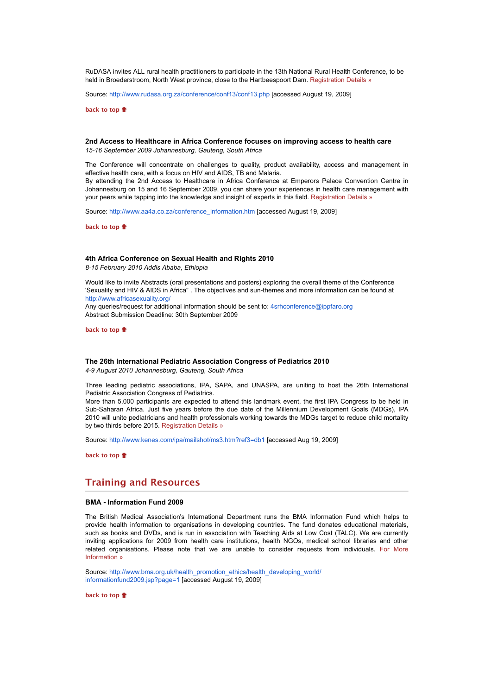RuDASA invites ALL rural health practitioners to participate in the 13th National Rural Health Conference, to be held in Broederstroom, North West province, close to the Hartbeespoort Dam. Registration Details »

Source: http://www.rudasa.org.za/conference/conf13/conf13.php [accessed August 19, 2009]

**back to top**

## **2nd Access to Healthcare in Africa Conference focuses on improving access to health care** *15-16 September 2009 Johannesburg, Gauteng, South Africa*

The Conference will concentrate on challenges to quality, product availability, access and management in effective health care, with a focus on HIV and AIDS, TB and Malaria. By attending the 2nd Access to Healthcare in Africa Conference at Emperors Palace Convention Centre in Johannesburg on 15 and 16 September 2009, you can share your experiences in health care management with your peers while tapping into the knowledge and insight of experts in this field. Registration Details »

Source: http://www.aa4a.co.za/conference\_information.htm [accessed August 19, 2009]

**back to top**

#### **4th Africa Conference on Sexual Health and Rights 2010**

*8-15 February 2010 Addis Ababa, Ethiopia*

Would like to invite Abstracts (oral presentations and posters) exploring the overall theme of the Conference 'Sexuality and HIV & AIDS in Africa" . The objectives and sun-themes and more information can be found at http://www.africasexuality.org/

Any queries/request for additional information should be sent to: 4srhconference@ippfaro.org Abstract Submission Deadline: 30th September 2009

**back to top**

### **The 26th International Pediatric Association Congress of Pediatrics 2010**

*4-9 August 2010 Johannesburg, Gauteng, South Africa*

Three leading pediatric associations, IPA, SAPA, and UNASPA, are uniting to host the 26th International Pediatric Association Congress of Pediatrics.

More than 5,000 participants are expected to attend this landmark event, the first IPA Congress to be held in Sub-Saharan Africa. Just five years before the due date of the Millennium Development Goals (MDGs), IPA 2010 will unite pediatricians and health professionals working towards the MDGs target to reduce child mortality by two thirds before 2015. Registration Details »

Source: http://www.kenes.com/ipa/mailshot/ms3.htm?ref3=db1 [accessed Aug 19, 2009]

**back to top**

## **Training and Resources**

### **BMA - Information Fund 2009**

The British Medical Association's International Department runs the BMA Information Fund which helps to provide health information to organisations in developing countries. The fund donates educational materials, such as books and DVDs, and is run in association with Teaching Aids at Low Cost (TALC). We are currently inviting applications for 2009 from health care institutions, health NGOs, medical school libraries and other related organisations. Please note that we are unable to consider requests from individuals. For More Information »

Source: http://www.bma.org.uk/health\_promotion\_ethics/health\_developing\_world/ informationfund2009.jsp?page=1 [accessed August 19, 2009]

**back to top**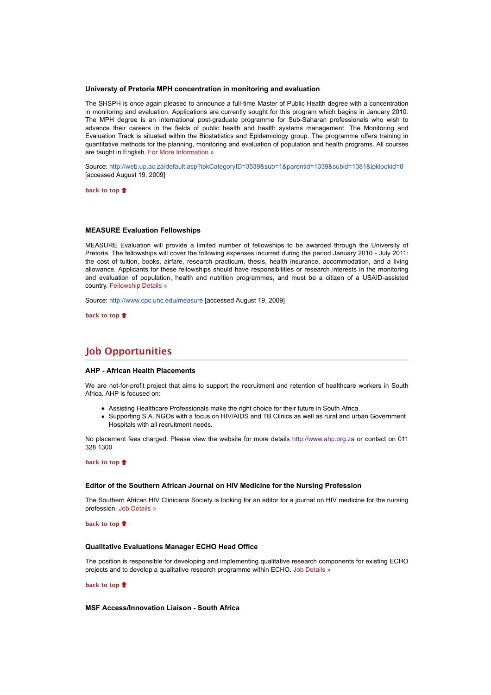## **Universty of Pretoria MPH concentration in monitoring and evaluation**

The SHSPH is once again pleased to announce a full-time Master of Public Health degree with a concentration in monitoring and evaluation. Applications are currently sought for this program which begins in January 2010. The MPH degree is an international post-graduate programme for Sub-Saharan professionals who wish to advance their careers in the fields of public health and health systems management. The Monitoring and Evaluation Track is situated within the Biostatistics and Epidemiology group. The programme offers training in quantitative methods for the planning, monitoring and evaluation of population and health programs. All courses are taught in English. For More Information »

Source: http://web.up.ac.za/default.asp?ipkCategoryID=3539&sub=1&parentid=1339&subid=1381&ipklookid=8 [accessed August 19, 2009]

**back to top**

### **MEASURE Evaluation Fellowships**

MEASURE Evaluation will provide a limited number of fellowships to be awarded through the University of Pretoria. The fellowships will cover the following expenses incurred during the period January 2010 - July 2011: the cost of tuition, books, airfare, research practicum, thesis, health insurance, accommodation, and a living allowance. Applicants for these fellowships should have responsibilities or research interests in the monitoring and evaluation of population, health and nutrition programmes, and must be a citizen of a USAID-assisted country. Fellowship Details »

Source: http://www.cpc.unc.edu/measure [accessed August 19, 2009]

**back to top**

# **Job Opportunities**

#### **AHP - African Health Placements**

We are not-for-profit project that aims to support the recruitment and retention of healthcare workers in South Africa. AHP is focused on:

- Assisting Healthcare Professionals make the right choice for their future in South Africa.
- Supporting S.A. NGOs with a focus on HIV/AIDS and TB Clinics as well as rural and urban Government Hospitals with all recruitment needs.

No placement fees charged. Please view the website for more details http://www.ahp.org.za or contact on 011 328 1300

#### **back to top**

#### **Editor of the Southern African Journal on HIV Medicine for the Nursing Profession**

The Southern African HIV Clinicians Society is looking for an editor for a journal on HIV medicine for the nursing profession. Job Details »

**back to top**

### **Qualitative Evaluations Manager ECHO Head Office**

The position is responsible for developing and implementing qualitative research components for existing ECHO projects and to develop a qualitative research programme within ECHO. Job Details »

#### **back to top**

#### **MSF Access/Innovation Liaison - South Africa**